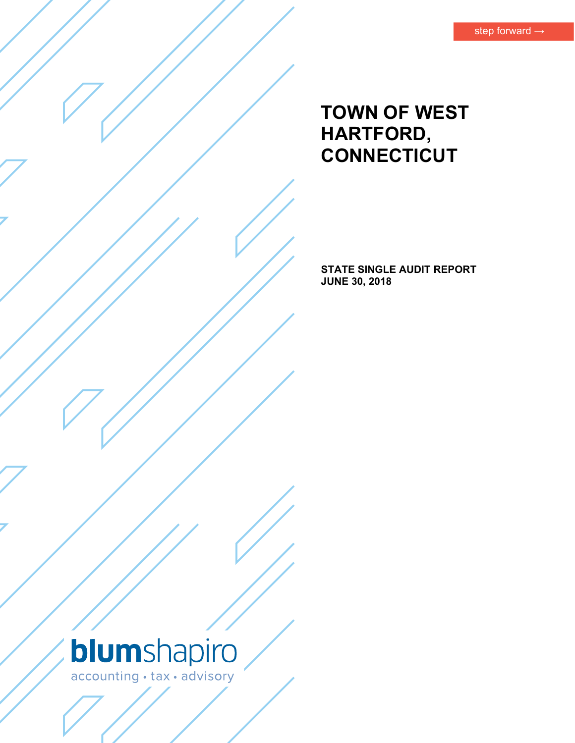## **TOWN OF WEST HARTFORD, CONNECTICUT**

**STATE SINGLE AUDIT REPORT JUNE 30, 2018** 

# blumshapiro accounting · tax · advisory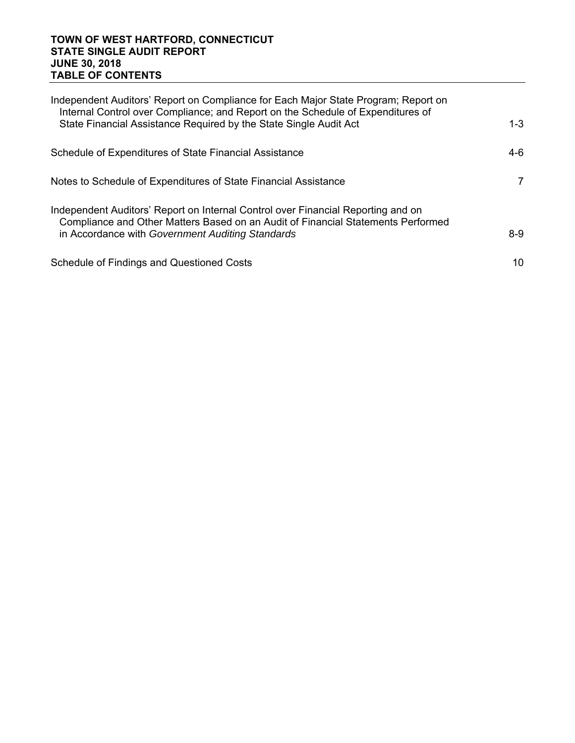## **TOWN OF WEST HARTFORD, CONNECTICUT STATE SINGLE AUDIT REPORT JUNE 30, 2018 TABLE OF CONTENTS**

| Independent Auditors' Report on Compliance for Each Major State Program; Report on<br>Internal Control over Compliance; and Report on the Schedule of Expenditures of<br>State Financial Assistance Required by the State Single Audit Act | $1 - 3$        |
|--------------------------------------------------------------------------------------------------------------------------------------------------------------------------------------------------------------------------------------------|----------------|
| Schedule of Expenditures of State Financial Assistance                                                                                                                                                                                     | 4-6            |
|                                                                                                                                                                                                                                            |                |
| Notes to Schedule of Expenditures of State Financial Assistance                                                                                                                                                                            | $\overline{7}$ |
| Independent Auditors' Report on Internal Control over Financial Reporting and on<br>Compliance and Other Matters Based on an Audit of Financial Statements Performed<br>in Accordance with Government Auditing Standards                   | 8-9            |
| Schedule of Findings and Questioned Costs                                                                                                                                                                                                  | 10             |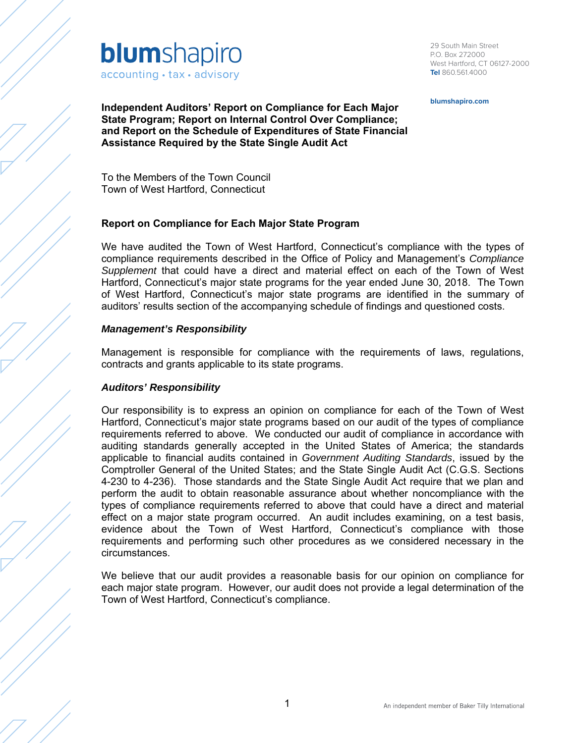

29 South Main Street P.O. Box 272000 West Hartford, CT 06127-2000 **Tel** 860.561.4000

**blumshapiro.com**

**Independent Auditors' Report on Compliance for Each Major State Program; Report on Internal Control Over Compliance; and Report on the Schedule of Expenditures of State Financial Assistance Required by the State Single Audit Act** 

To the Members of the Town Council Town of West Hartford, Connecticut

## **Report on Compliance for Each Major State Program**

We have audited the Town of West Hartford, Connecticut's compliance with the types of compliance requirements described in the Office of Policy and Management's *Compliance Supplement* that could have a direct and material effect on each of the Town of West Hartford, Connecticut's major state programs for the year ended June 30, 2018. The Town of West Hartford, Connecticut's major state programs are identified in the summary of auditors' results section of the accompanying schedule of findings and questioned costs.

#### *Management's Responsibility*

Management is responsible for compliance with the requirements of laws, regulations, contracts and grants applicable to its state programs.

#### *Auditors' Responsibility*

Our responsibility is to express an opinion on compliance for each of the Town of West Hartford, Connecticut's major state programs based on our audit of the types of compliance requirements referred to above. We conducted our audit of compliance in accordance with auditing standards generally accepted in the United States of America; the standards applicable to financial audits contained in *Government Auditing Standards*, issued by the Comptroller General of the United States; and the State Single Audit Act (C.G.S. Sections 4-230 to 4-236). Those standards and the State Single Audit Act require that we plan and perform the audit to obtain reasonable assurance about whether noncompliance with the types of compliance requirements referred to above that could have a direct and material effect on a major state program occurred. An audit includes examining, on a test basis, evidence about the Town of West Hartford, Connecticut's compliance with those requirements and performing such other procedures as we considered necessary in the circumstances.

We believe that our audit provides a reasonable basis for our opinion on compliance for each major state program. However, our audit does not provide a legal determination of the Town of West Hartford, Connecticut's compliance.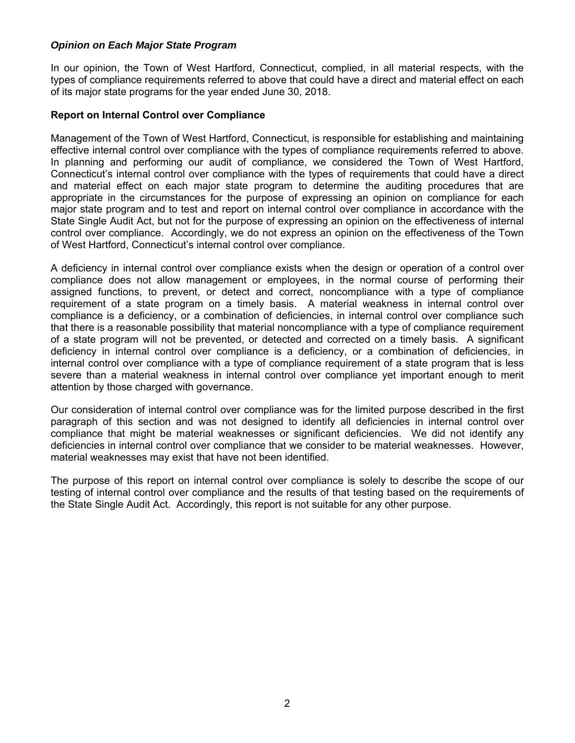## *Opinion on Each Major State Program*

In our opinion, the Town of West Hartford, Connecticut, complied, in all material respects, with the types of compliance requirements referred to above that could have a direct and material effect on each of its major state programs for the year ended June 30, 2018.

## **Report on Internal Control over Compliance**

Management of the Town of West Hartford, Connecticut, is responsible for establishing and maintaining effective internal control over compliance with the types of compliance requirements referred to above. In planning and performing our audit of compliance, we considered the Town of West Hartford, Connecticut's internal control over compliance with the types of requirements that could have a direct and material effect on each major state program to determine the auditing procedures that are appropriate in the circumstances for the purpose of expressing an opinion on compliance for each major state program and to test and report on internal control over compliance in accordance with the State Single Audit Act, but not for the purpose of expressing an opinion on the effectiveness of internal control over compliance. Accordingly, we do not express an opinion on the effectiveness of the Town of West Hartford, Connecticut's internal control over compliance.

A deficiency in internal control over compliance exists when the design or operation of a control over compliance does not allow management or employees, in the normal course of performing their assigned functions, to prevent, or detect and correct, noncompliance with a type of compliance requirement of a state program on a timely basis. A material weakness in internal control over compliance is a deficiency, or a combination of deficiencies, in internal control over compliance such that there is a reasonable possibility that material noncompliance with a type of compliance requirement of a state program will not be prevented, or detected and corrected on a timely basis. A significant deficiency in internal control over compliance is a deficiency, or a combination of deficiencies, in internal control over compliance with a type of compliance requirement of a state program that is less severe than a material weakness in internal control over compliance yet important enough to merit attention by those charged with governance.

Our consideration of internal control over compliance was for the limited purpose described in the first paragraph of this section and was not designed to identify all deficiencies in internal control over compliance that might be material weaknesses or significant deficiencies. We did not identify any deficiencies in internal control over compliance that we consider to be material weaknesses. However, material weaknesses may exist that have not been identified.

The purpose of this report on internal control over compliance is solely to describe the scope of our testing of internal control over compliance and the results of that testing based on the requirements of the State Single Audit Act. Accordingly, this report is not suitable for any other purpose.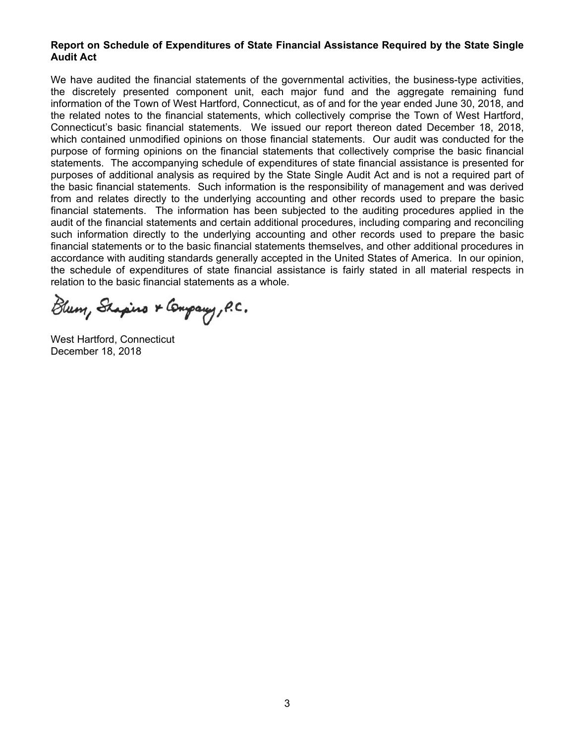## **Report on Schedule of Expenditures of State Financial Assistance Required by the State Single Audit Act**

We have audited the financial statements of the governmental activities, the business-type activities, the discretely presented component unit, each major fund and the aggregate remaining fund information of the Town of West Hartford, Connecticut, as of and for the year ended June 30, 2018, and the related notes to the financial statements, which collectively comprise the Town of West Hartford, Connecticut's basic financial statements. We issued our report thereon dated December 18, 2018, which contained unmodified opinions on those financial statements. Our audit was conducted for the purpose of forming opinions on the financial statements that collectively comprise the basic financial statements. The accompanying schedule of expenditures of state financial assistance is presented for purposes of additional analysis as required by the State Single Audit Act and is not a required part of the basic financial statements. Such information is the responsibility of management and was derived from and relates directly to the underlying accounting and other records used to prepare the basic financial statements. The information has been subjected to the auditing procedures applied in the audit of the financial statements and certain additional procedures, including comparing and reconciling such information directly to the underlying accounting and other records used to prepare the basic financial statements or to the basic financial statements themselves, and other additional procedures in accordance with auditing standards generally accepted in the United States of America. In our opinion, the schedule of expenditures of state financial assistance is fairly stated in all material respects in relation to the basic financial statements as a whole.

Blum, Shapino & Company, P.C.

West Hartford, Connecticut December 18, 2018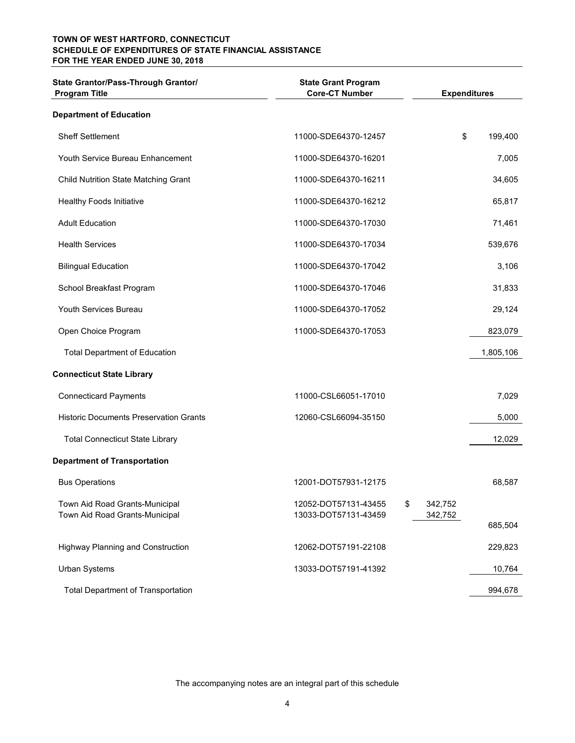#### **TOWN OF WEST HARTFORD, CONNECTICUT SCHEDULE OF EXPENDITURES OF STATE FINANCIAL ASSISTANCE FOR THE YEAR ENDED JUNE 30, 2018**

| State Grantor/Pass-Through Grantor/<br><b>Program Title</b>      | <b>State Grant Program</b><br><b>Core-CT Number</b> | <b>Expenditures</b>      |           |
|------------------------------------------------------------------|-----------------------------------------------------|--------------------------|-----------|
| <b>Department of Education</b>                                   |                                                     |                          |           |
| <b>Sheff Settlement</b>                                          | 11000-SDE64370-12457                                | \$                       | 199,400   |
| Youth Service Bureau Enhancement                                 | 11000-SDE64370-16201                                |                          | 7,005     |
| <b>Child Nutrition State Matching Grant</b>                      | 11000-SDE64370-16211                                |                          | 34,605    |
| <b>Healthy Foods Initiative</b>                                  | 11000-SDE64370-16212                                |                          | 65,817    |
| <b>Adult Education</b>                                           | 11000-SDE64370-17030                                |                          | 71,461    |
| <b>Health Services</b>                                           | 11000-SDE64370-17034                                |                          | 539,676   |
| <b>Bilingual Education</b>                                       | 11000-SDE64370-17042                                |                          | 3,106     |
| School Breakfast Program                                         | 11000-SDE64370-17046                                |                          | 31,833    |
| Youth Services Bureau                                            | 11000-SDE64370-17052                                |                          | 29,124    |
| Open Choice Program                                              | 11000-SDE64370-17053                                |                          | 823,079   |
| <b>Total Department of Education</b>                             |                                                     |                          | 1,805,106 |
| <b>Connecticut State Library</b>                                 |                                                     |                          |           |
| <b>Connecticard Payments</b>                                     | 11000-CSL66051-17010                                |                          | 7,029     |
| <b>Historic Documents Preservation Grants</b>                    | 12060-CSL66094-35150                                |                          | 5,000     |
| <b>Total Connecticut State Library</b>                           |                                                     |                          | 12,029    |
| <b>Department of Transportation</b>                              |                                                     |                          |           |
| <b>Bus Operations</b>                                            | 12001-DOT57931-12175                                |                          | 68,587    |
| Town Aid Road Grants-Municipal<br>Town Aid Road Grants-Municipal | 12052-DOT57131-43455<br>13033-DOT57131-43459        | \$<br>342,752<br>342,752 | 685,504   |
| Highway Planning and Construction                                | 12062-DOT57191-22108                                |                          | 229,823   |
| <b>Urban Systems</b>                                             | 13033-DOT57191-41392                                |                          | 10,764    |
| <b>Total Department of Transportation</b>                        |                                                     |                          | 994,678   |

The accompanying notes are an integral part of this schedule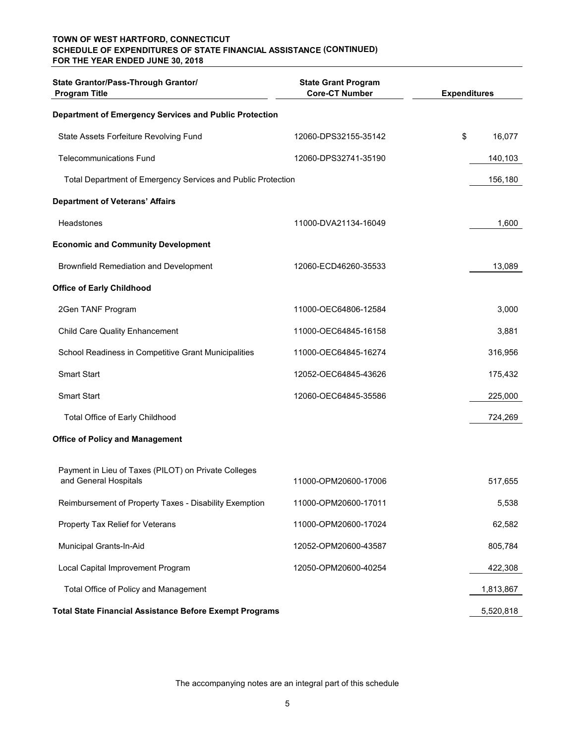#### **(CONTINUED) SCHEDULE OF EXPENDITURES OF STATE FINANCIAL ASSISTANCE TOWN OF WEST HARTFORD, CONNECTICUT FOR THE YEAR ENDED JUNE 30, 2018**

| State Grantor/Pass-Through Grantor/<br><b>Program Title</b>    | <b>State Grant Program</b><br><b>Core-CT Number</b> | <b>Expenditures</b> |
|----------------------------------------------------------------|-----------------------------------------------------|---------------------|
| Department of Emergency Services and Public Protection         |                                                     |                     |
| State Assets Forfeiture Revolving Fund                         | 12060-DPS32155-35142                                | \$<br>16,077        |
| <b>Telecommunications Fund</b>                                 | 12060-DPS32741-35190                                | 140,103             |
| Total Department of Emergency Services and Public Protection   |                                                     | 156,180             |
| <b>Department of Veterans' Affairs</b>                         |                                                     |                     |
| Headstones                                                     | 11000-DVA21134-16049                                | 1,600               |
| <b>Economic and Community Development</b>                      |                                                     |                     |
| <b>Brownfield Remediation and Development</b>                  | 12060-ECD46260-35533                                | 13,089              |
| <b>Office of Early Childhood</b>                               |                                                     |                     |
| 2Gen TANF Program                                              | 11000-OEC64806-12584                                | 3,000               |
| <b>Child Care Quality Enhancement</b>                          | 11000-OEC64845-16158                                | 3,881               |
| School Readiness in Competitive Grant Municipalities           | 11000-OEC64845-16274                                | 316,956             |
| <b>Smart Start</b>                                             | 12052-OEC64845-43626                                | 175,432             |
| <b>Smart Start</b>                                             | 12060-OEC64845-35586                                | 225,000             |
| <b>Total Office of Early Childhood</b>                         |                                                     | 724,269             |
| <b>Office of Policy and Management</b>                         |                                                     |                     |
| Payment in Lieu of Taxes (PILOT) on Private Colleges           |                                                     |                     |
| and General Hospitals                                          | 11000-OPM20600-17006                                | 517,655             |
| Reimbursement of Property Taxes - Disability Exemption         | 11000-OPM20600-17011                                | 5,538               |
| Property Tax Relief for Veterans                               | 11000-OPM20600-17024                                | 62,582              |
| Municipal Grants-In-Aid                                        | 12052-OPM20600-43587                                | 805,784             |
| Local Capital Improvement Program                              | 12050-OPM20600-40254                                | 422,308             |
| Total Office of Policy and Management                          |                                                     | 1,813,867           |
| <b>Total State Financial Assistance Before Exempt Programs</b> |                                                     | 5,520,818           |

The accompanying notes are an integral part of this schedule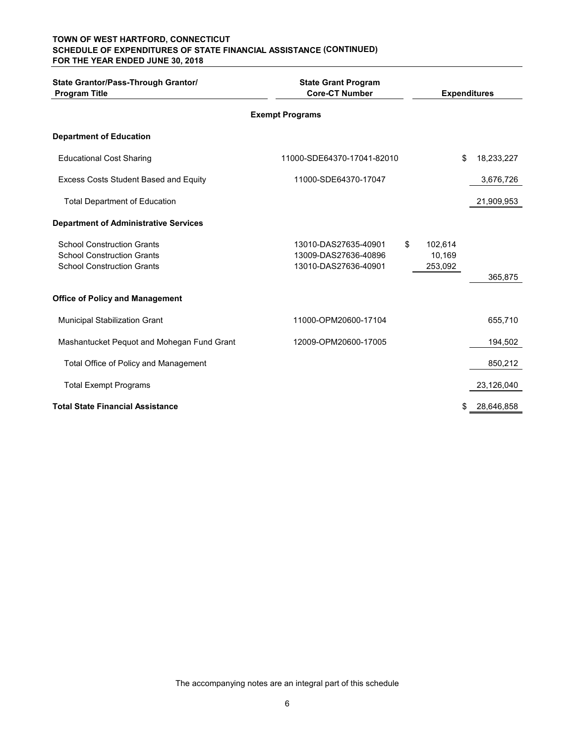#### **(CONTINUED) SCHEDULE OF EXPENDITURES OF STATE FINANCIAL ASSISTANCE TOWN OF WEST HARTFORD, CONNECTICUT FOR THE YEAR ENDED JUNE 30, 2018**

| State Grantor/Pass-Through Grantor/<br><b>Program Title</b>                                                 | <b>State Grant Program</b><br><b>Core-CT Number</b>                        |                              |    | <b>Expenditures</b> |  |
|-------------------------------------------------------------------------------------------------------------|----------------------------------------------------------------------------|------------------------------|----|---------------------|--|
| <b>Exempt Programs</b>                                                                                      |                                                                            |                              |    |                     |  |
| <b>Department of Education</b>                                                                              |                                                                            |                              |    |                     |  |
| <b>Educational Cost Sharing</b>                                                                             | 11000-SDE64370-17041-82010                                                 |                              | \$ | 18,233,227          |  |
| Excess Costs Student Based and Equity                                                                       | 11000-SDE64370-17047                                                       |                              |    | 3,676,726           |  |
| <b>Total Department of Education</b>                                                                        |                                                                            |                              |    | 21,909,953          |  |
| <b>Department of Administrative Services</b>                                                                |                                                                            |                              |    |                     |  |
| <b>School Construction Grants</b><br><b>School Construction Grants</b><br><b>School Construction Grants</b> | \$<br>13010-DAS27635-40901<br>13009-DAS27636-40896<br>13010-DAS27636-40901 | 102,614<br>10,169<br>253,092 |    | 365,875             |  |
| <b>Office of Policy and Management</b>                                                                      |                                                                            |                              |    |                     |  |
| <b>Municipal Stabilization Grant</b>                                                                        | 11000-OPM20600-17104                                                       |                              |    | 655,710             |  |
| Mashantucket Pequot and Mohegan Fund Grant                                                                  | 12009-OPM20600-17005                                                       |                              |    | 194,502             |  |
| Total Office of Policy and Management                                                                       |                                                                            |                              |    | 850,212             |  |
| <b>Total Exempt Programs</b>                                                                                |                                                                            |                              |    | 23,126,040          |  |
| <b>Total State Financial Assistance</b>                                                                     |                                                                            |                              | \$ | 28,646,858          |  |

The accompanying notes are an integral part of this schedule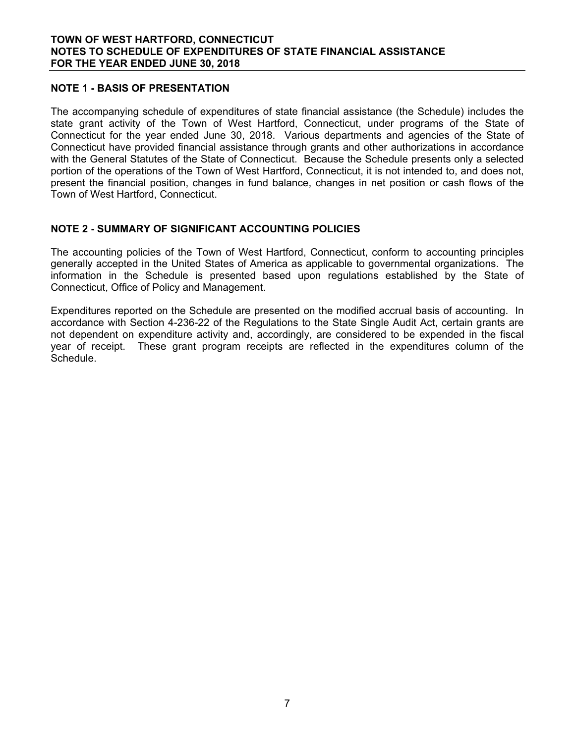## **NOTE 1 - BASIS OF PRESENTATION**

The accompanying schedule of expenditures of state financial assistance (the Schedule) includes the state grant activity of the Town of West Hartford, Connecticut, under programs of the State of Connecticut for the year ended June 30, 2018. Various departments and agencies of the State of Connecticut have provided financial assistance through grants and other authorizations in accordance with the General Statutes of the State of Connecticut. Because the Schedule presents only a selected portion of the operations of the Town of West Hartford, Connecticut, it is not intended to, and does not, present the financial position, changes in fund balance, changes in net position or cash flows of the Town of West Hartford, Connecticut.

## **NOTE 2 - SUMMARY OF SIGNIFICANT ACCOUNTING POLICIES**

The accounting policies of the Town of West Hartford, Connecticut, conform to accounting principles generally accepted in the United States of America as applicable to governmental organizations. The information in the Schedule is presented based upon regulations established by the State of Connecticut, Office of Policy and Management.

Expenditures reported on the Schedule are presented on the modified accrual basis of accounting. In accordance with Section 4-236-22 of the Regulations to the State Single Audit Act, certain grants are not dependent on expenditure activity and, accordingly, are considered to be expended in the fiscal year of receipt. These grant program receipts are reflected in the expenditures column of the Schedule.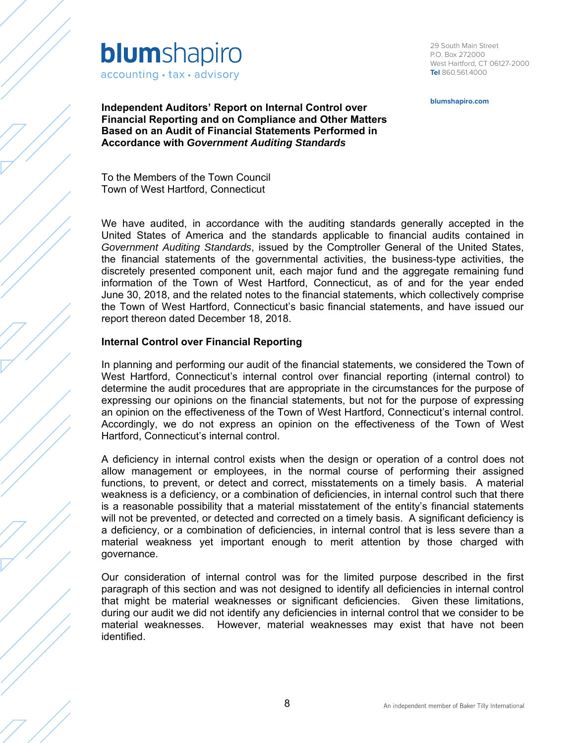

29 South Main Street P.O. Box 272000 West Hartford, CT 06127-2000 **Tel** 860.561.4000

**blumshapiro.com**

**Independent Auditors' Report on Internal Control over Financial Reporting and on Compliance and Other Matters Based on an Audit of Financial Statements Performed in Accordance with** *Government Auditing Standards* 

To the Members of the Town Council Town of West Hartford, Connecticut

We have audited, in accordance with the auditing standards generally accepted in the United States of America and the standards applicable to financial audits contained in *Government Auditing Standards*, issued by the Comptroller General of the United States, the financial statements of the governmental activities, the business-type activities, the discretely presented component unit, each major fund and the aggregate remaining fund information of the Town of West Hartford, Connecticut, as of and for the year ended June 30, 2018, and the related notes to the financial statements, which collectively comprise the Town of West Hartford, Connecticut's basic financial statements, and have issued our report thereon dated December 18, 2018.

#### **Internal Control over Financial Reporting**

In planning and performing our audit of the financial statements, we considered the Town of West Hartford, Connecticut's internal control over financial reporting (internal control) to determine the audit procedures that are appropriate in the circumstances for the purpose of expressing our opinions on the financial statements, but not for the purpose of expressing an opinion on the effectiveness of the Town of West Hartford, Connecticut's internal control. Accordingly, we do not express an opinion on the effectiveness of the Town of West Hartford, Connecticut's internal control.

A deficiency in internal control exists when the design or operation of a control does not allow management or employees, in the normal course of performing their assigned functions, to prevent, or detect and correct, misstatements on a timely basis. A material weakness is a deficiency, or a combination of deficiencies, in internal control such that there is a reasonable possibility that a material misstatement of the entity's financial statements will not be prevented, or detected and corrected on a timely basis. A significant deficiency is a deficiency, or a combination of deficiencies, in internal control that is less severe than a material weakness yet important enough to merit attention by those charged with governance.

Our consideration of internal control was for the limited purpose described in the first paragraph of this section and was not designed to identify all deficiencies in internal control that might be material weaknesses or significant deficiencies. Given these limitations, during our audit we did not identify any deficiencies in internal control that we consider to be material weaknesses. However, material weaknesses may exist that have not been identified.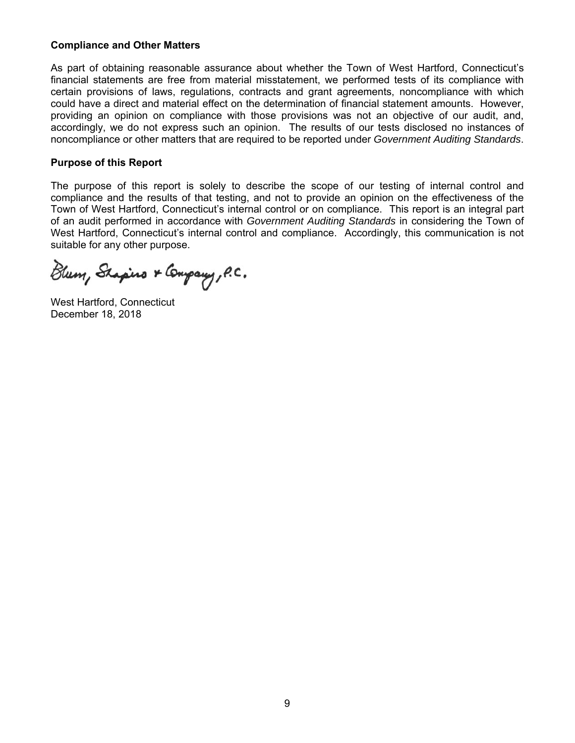## **Compliance and Other Matters**

As part of obtaining reasonable assurance about whether the Town of West Hartford, Connecticut's financial statements are free from material misstatement, we performed tests of its compliance with certain provisions of laws, regulations, contracts and grant agreements, noncompliance with which could have a direct and material effect on the determination of financial statement amounts. However, providing an opinion on compliance with those provisions was not an objective of our audit, and, accordingly, we do not express such an opinion. The results of our tests disclosed no instances of noncompliance or other matters that are required to be reported under *Government Auditing Standards*.

## **Purpose of this Report**

The purpose of this report is solely to describe the scope of our testing of internal control and compliance and the results of that testing, and not to provide an opinion on the effectiveness of the Town of West Hartford, Connecticut's internal control or on compliance. This report is an integral part of an audit performed in accordance with *Government Auditing Standards* in considering the Town of West Hartford, Connecticut's internal control and compliance. Accordingly, this communication is not suitable for any other purpose.

Blum, Shapino & Company, P.C.

West Hartford, Connecticut December 18, 2018